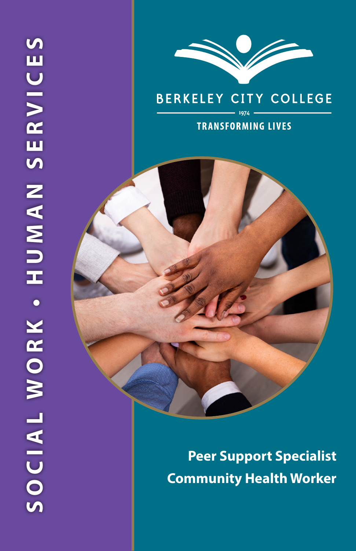

# **BERKELEY CITY COLLEGE**

### **TRANSFORMING LIVES**

**Peer Support Specialist Community Health Worker**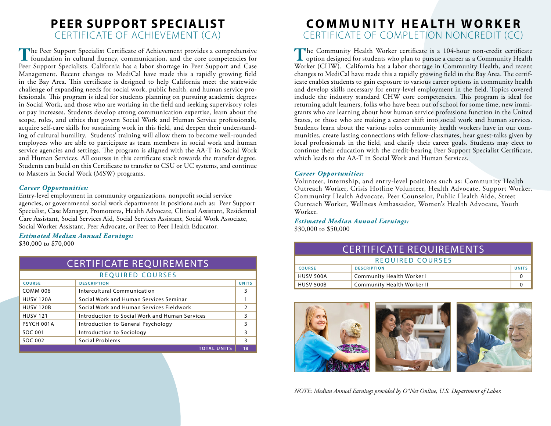## **PEER SUPPORT SPECIALIST** CERTIFICATE OF ACHIEVEMENT (CA)

The Peer Support Specialist Certificate of Achievement provides a comprehensive foundation in cultural fluency, communication, and the core competencies for Peer Support Specialists. California has a labor shortage in Peer Support and Case Management. Recent changes to MediCal have made this a rapidly growing field in the Bay Area. This certificate is designed to help California meet the statewide challenge of expanding needs for social work, public health, and human service professionals. This program is ideal for students planning on pursuing academic degrees in Social Work, and those who are working in the field and seeking supervisory roles or pay increases. Students develop strong communication expertise, learn about the scope, roles, and ethics that govern Social Work and Human Service professionals, acquire self-care skills for sustaining work in this field, and deepen their understanding of cultural humility. Students' training will allow them to become well-rounded employees who are able to participate as team members in social work and human service agencies and settings. The program is aligned with the AA-T in Social Work and Human Services. All courses in this certificate stack towards the transfer degree. Students can build on this Certificate to transfer to CSU or UC systems, and continue to Masters in Social Work (MSW) programs.

#### *Career Opportunities:*

Entry-level employment in community organizations, nonprofit social service agencies, or governmental social work departments in positions such as: Peer Support Specialist, Case Manager, Promotores, Health Advocate, Clinical Assistant, Residential Care Assistant, Social Services Aid, Social Services Assistant, Social Work Associate, Social Worker Assistant, Peer Advocate, or Peer to Peer Health Educator.

#### *Estimated Median Annual Earnings:*

\$30,000 to \$70,000

| <b>CERTIFICATE REQUIREMENTS</b> |                                                |               |  |
|---------------------------------|------------------------------------------------|---------------|--|
| REQUIRED COURSES                |                                                |               |  |
| <b>COURSE</b>                   | <b>DESCRIPTION</b>                             | <b>UNITS</b>  |  |
| <b>COMM 006</b>                 | Intercultural Communication                    | 3             |  |
| <b>HUSV 120A</b>                | Social Work and Human Services Seminar         |               |  |
| <b>HUSV 120B</b>                | Social Work and Human Services Fieldwork       | $\mathcal{P}$ |  |
| <b>HUSV 121</b>                 | Introduction to Social Work and Human Services | 3             |  |
| PSYCH 001A                      | Introduction to General Psychology             | 3             |  |
| SOC 001                         | Introduction to Sociology                      | 3             |  |
| SOC 002                         | Social Problems                                | 3             |  |
|                                 | <b>TOTAL UNITS</b>                             | 18            |  |

## **CO M M U N I T Y H E A LT H WO R K E R** CERTIFICATE OF COMPLETION NONCREDIT (CC)

The Community Health Worker certificate is a 104-hour non-credit certificate option designed for students who plan to pursue a career as a Community Health Worker (CHW). California has a labor shortage in Community Health, and recent changes to MediCal have made this a rapidly growing field in the Bay Area. The certificate enables students to gain exposure to various career options in community health and develop skills necessary for entry-level employment in the field. Topics covered include the industry standard CHW core competencies. This program is ideal for returning adult learners, folks who have been out of school for some time, new immigrants who are learning about how human service professions function in the United States, or those who are making a career shift into social work and human services. Students learn about the various roles community health workers have in our communities, create lasting connections with fellow-classmates, hear guest-talks given by local professionals in the field, and clarify their career goals. Students may elect to continue their education with the credit-bearing Peer Support Specialist Certificate, which leads to the AA-T in Social Work and Human Services.

#### *Career Opportunities:*

Volunteer, internship, and entry-level positions such as: Community Health Outreach Worker, Crisis Hotline Volunteer, Health Advocate, Support Worker, Community Health Advocate, Peer Counselor, Public Health Aide, Street Outreach Worker, Wellness Ambassador, Women's Health Advocate, Youth Worker.

*Estimated Median Annual Earnings:*  \$30,000 to \$50,000

| <u> CERTIFICATE REQUIREMENTS</u> |                            |              |  |
|----------------------------------|----------------------------|--------------|--|
| <b>REQUIRED COURSES</b>          |                            |              |  |
| <b>COURSE</b>                    | <b>DESCRIPTION</b>         | <b>UNITS</b> |  |
| HUSV 500A                        | Community Health Worker I  |              |  |
| <b>HUSV 500B</b>                 | Community Health Worker II |              |  |



*NOTE: Median Annual Earnings provided by O\*Net Online, U.S. Department of Labor.*